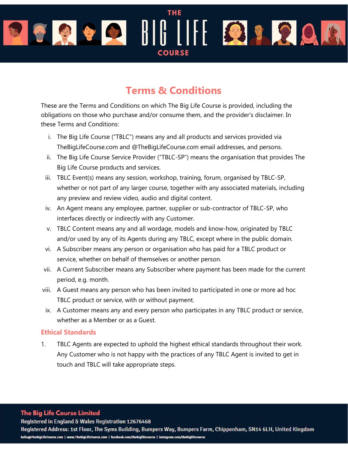# **THE** COODILIHERREA **COURSE**

# Terms & Conditions

These are the Terms and Conditions on which The Big Life Course is provided, including the obligations on those who purchase and/or consume them, and the provider's disclaimer. In these Terms and Conditions:

- i. The Big Life Course ("TBLC") means any and all products and services provided via TheBigLifeCourse.com and @TheBigLifeCourse.com email addresses, and persons.
- ii. The Big Life Course Service Provider ("TBLC-SP") means the organisation that provides The Big Life Course products and services.
- iii. TBLC Event(s) means any session, workshop, training, forum, organised by TBLC-SP, whether or not part of any larger course, together with any associated materials, including any preview and review video, audio and digital content.
- iv. An Agent means any employee, partner, supplier or sub-contractor of TBLC-SP, who interfaces directly or indirectly with any Customer.
- v. TBLC Content means any and all wordage, models and know-how, originated by TBLC and/or used by any of its Agents during any TBLC, except where in the public domain.
- vi. A Subscriber means any person or organisation who has paid for a TBLC product or service, whether on behalf of themselves or another person.
- vii. A Current Subscriber means any Subscriber where payment has been made for the current period, e.g. month.
- viii. A Guest means any person who has been invited to participated in one or more ad hoc TBLC product or service, with or without payment.
- ix. A Customer means any and every person who participates in any TBLC product or service, whether as a Member or as a Guest.

#### Ethical Standards

1. TBLC Agents are expected to uphold the highest ethical standards throughout their work. Any Customer who is not happy with the practices of any TBLC Agent is invited to get in touch and TBLC will take appropriate steps.

#### **The Big Life Course Limited**

Registered in England & Wales Registration 12676468

Registered Address: 1st Floor, The Syms Building, Bumpers Way, Bumpers Farm, Chippenham, SN14 6LH, United Kingdom hello@TheBigLifeCourse.com | www.TheBigLifeCourse.com | facebook.com/thebiglifecourse | instagram.com/thebiglifecourse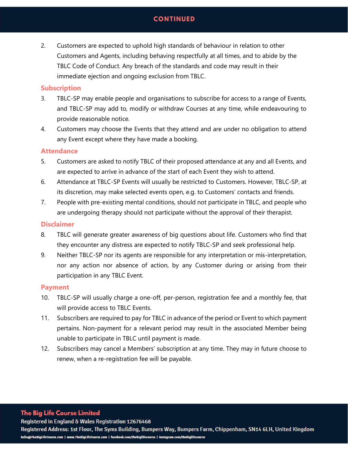## **CONTINUED**

2. Customers are expected to uphold high standards of behaviour in relation to other Customers and Agents, including behaving respectfully at all times, and to abide by the TBLC Code of Conduct. Any breach of the standards and code may result in their immediate ejection and ongoing exclusion from TBLC.

#### **Subscription**

- 3. TBLC-SP may enable people and organisations to subscribe for access to a range of Events, and TBLC-SP may add to, modify or withdraw Courses at any time, while endeavouring to provide reasonable notice.
- 4. Customers may choose the Events that they attend and are under no obligation to attend any Event except where they have made a booking.

#### **Attendance**

- 5. Customers are asked to notify TBLC of their proposed attendance at any and all Events, and are expected to arrive in advance of the start of each Event they wish to attend.
- 6. Attendance at TBLC-SP Events will usually be restricted to Customers. However, TBLC-SP, at its discretion, may make selected events open, e.g. to Customers' contacts and friends.
- 7. People with pre-existing mental conditions, should not participate in TBLC, and people who are undergoing therapy should not participate without the approval of their therapist.

#### **Disclaimer**

- 8. TBLC will generate greater awareness of big questions about life. Customers who find that they encounter any distress are expected to notify TBLC-SP and seek professional help.
- 9. Neither TBLC-SP nor its agents are responsible for any interpretation or mis-interpretation, nor any action nor absence of action, by any Customer during or arising from their participation in any TBLC Event.

#### Payment

- 10. TBLC-SP will usually charge a one-off, per-person, registration fee and a monthly fee, that will provide access to TBLC Events.
- 11. Subscribers are required to pay for TBLC in advance of the period or Event to which payment pertains. Non-payment for a relevant period may result in the associated Member being unable to participate in TBLC until payment is made.
- 12. Subscribers may cancel a Members' subscription at any time. They may in future choose to renew, when a re-registration fee will be payable.

#### **The Big Life Course Limited**

Registered in England & Wales Registration 12676468

Registered Address: 1st Floor, The Syms Building, Bumpers Way, Bumpers Farm, Chippenham, SN14 6LH, United Kingdom hello@TheBigLifeCourse.com | www.TheBigLifeCourse.com | facebook.com/thebiglifecourse | instagram.com/thebiglifecourse